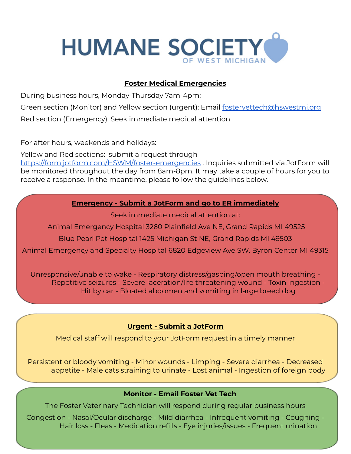

## **Foster Medical Emergencies**

During business hours, Monday-Thursday 7am-4pm:

Green section (Monitor) and Yellow section (urgent): Email [fostervettech@hswestmi.org](mailto:fostervettech@hswestmi.org)

Red section (Emergency): Seek immediate medical attention

For after hours, weekends and holidays:

Yellow and Red sections: submit a request through <https://form.jotform.com/HSWM/foster-emergencies> . Inquiries submitted via JotForm will be monitored throughout the day from 8am-8pm. It may take a couple of hours for you to receive a response. In the meantime, please follow the guidelines below.

### **Emergency - Submit a JotForm and go to ER immediately**

Seek immediate medical attention at:

Animal Emergency Hospital 3260 Plainfield Ave NE, Grand Rapids MI 49525

Blue Pearl Pet Hospital 1425 Michigan St NE, Grand Rapids MI 49503

Animal Emergency and Specialty Hospital 6820 Edgeview Ave SW. Byron Center MI 49315

Unresponsive/unable to wake - Respiratory distress/gasping/open mouth breathing - Repetitive seizures - Severe laceration/life threatening wound - Toxin ingestion - Hit by car - Bloated abdomen and vomiting in large breed dog

# **Urgent - Submit a JotForm**

Medical staff will respond to your JotForm request in a timely manner

Persistent or bloody vomiting - Minor wounds - Limping - Severe diarrhea - Decreased appetite - Male cats straining to urinate - Lost animal - Ingestion of foreign body

## **Monitor - Email Foster Vet Tech**

The Foster Veterinary Technician will respond during regular business hours

Congestion - Nasal/Ocular discharge - Mild diarrhea - Infrequent vomiting - Coughing - Hair loss - Fleas - Medication refills - Eye injuries/issues - Frequent urination